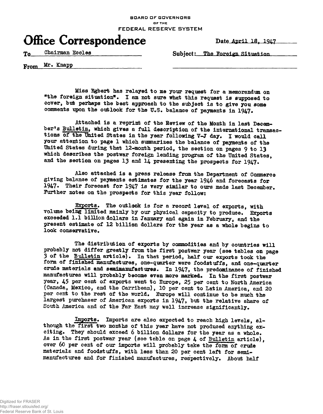**BOARD OF GOVERNORS OF THE FEDERAL RESERVE SYSTEM**

## **Office Correspondence** Date April 18, 1947

To Chairman Eccles Subject: The Foreign Situation

From Mr. Knapp

**Miss Egbert has relayed to me your request for a memorandum on** "the foreign situation". I am not sure what this request is supposed to **cover, but perhaps the best approach to the subject is to give you some** comments upon the outlook for the U.S. balance of payments in 1947.

**Attached is a reprint of the Review of the Month in last Decesmber? <sup>s</sup> Bulletin, which gives a full description of the international transac**tions of the United States in the year following V-J day. I would call **your attention to page 1 which summarizes the balance of payments of the United States during that 12-month period, the section on pages 9 to 13 which describes the postwar foreign lending program of the United States,** and the section on pages 13 and 14 presenting the prospects for 1947.

**Also attached is a press release from the Department of Commerce giving balance of payments estimates for the year 1946 and forecasts for** 1947. Their forecast for 1947 is very similar to ours made last December. **Further notes on the prospects for this year follow:**

Exports. The outlook is for a record level of exports, with **volume being limited mainly by our physical capacity to produce. Exports exceeded !•! billion dollars in January and again in February, and the present estimate of 12 billion dollars for the year as a whole begins to** look conservative.

**The distribution of exports by commodities and by countries will probably not differ greatly from the first postwar year (see tables on page 3 of the Bulletin article)\* In that period, half our exports took the form of finished manufactures, one-quarter were foodstuffs, and one-quarter crude materials and semimanufactures. In 1947, the predominance of finished** manufactures will probably become even more marked. In the first postwar **year, 45 per cent of exports went to Europe, 25 per cent to North America** (Canada, Mexico, and the Carribean), 10 per cent to Latin America, and 20 **per cent to the rest of the world, Europe will continue to be much the largest purchaser of American exports in 1947, but the relative share of** South America and of the Far East may well increase significantly.

Imports. Imports are also expected to reach high levels, although the first two months of this year have not produced anything exciting. They should exceed 6 billion dollars for the year as a whole. **As in the first postwar year (see table on page 4 of Bulletin article), over 60 per cent of our imports will probably take the foxm of crude materials and foodstuffs, with less than 20 per cent left for semimanufactures and for finished manufactures, respectively, About half**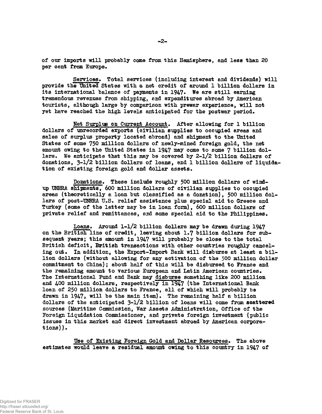**of our imports will probably come from this Hemisphere, and less than 20** per cent from Europe.

**Services. Total services (including interest and dividends) will provide the United States with a net credit of around 1 billion dollars in** its international balance of payments in 1947. We are still earning **tremendous revenues from shipping, and expenditures abroad by American tourists, although large by comparison with prewar experience, will not yet have reached the high levels anticipated for the postwar period.**

Net Surplus on Current Account. After allowing for 1 billion **dollars of unrecorded exports (civilian supplies to occupied areas and sales of surplus property located abroad) and shipment to the United States of some 750 million dollars of newly-mined foreign gold, the net** amount owing to the United States in 1947 may come to some 7 billion dol**lars. We anticipate that this may be covered by 2-1/2 billion dollars of donations, 3-1/2 billion dollars of loans, end 1 billion dollars of liquidation of existing foreign gold and dollar assets.**

**Donations. These include roughly 500 million dollars of windup UNHBA shipments, 600 million dollars of civilian supplies to occupied areas (theoretically a loan but classified as a donation), 500 million dol**lars of post-UNRRA U.S. relief assistance plus special aid to Greece and Turkey (some of the latter may be in loan form), 600 million dollars of **private relief and remittances, and some special aid to the Philippines.**

**Loans. Around 1-1/2 billion dollars may be drawn during 1947 on the British line of credit, leaving about 1.7 billion dollars for subsequent years; this amount in 1947 will probably be close to the total British deficit, British transactions with other countries roughly cancel**ing out. In addition, the Export-Import Bank will disburse at least a bil**lion dollars (without allowing for any activation of the 500 million dollar commitment to China) j about half of this will be disbursed to France and the remaining amount to various European and Latin American countries. The International Fund and Bank may disburse something like 200 million** and 400 million dollars, respectively in 1947 (the International Bank **loan of 250 million dollars to France, ell of which will probably be** drawn in 1947, will be the main item). The remaining half a billion **dollars of the anticipated 3-1/2 billion of loans will come from aeattered sources (Maritime Commission, War Assets Administration, Office of the Foreign Liquidation Commissioner, and private foreign investment (public issues in this market and direct investment abroad by American corporations)).**

**Use of Existing Foreign Gold and Dollar Resources. The above estimates would leave a residual amount owing to this country in 1947 of**